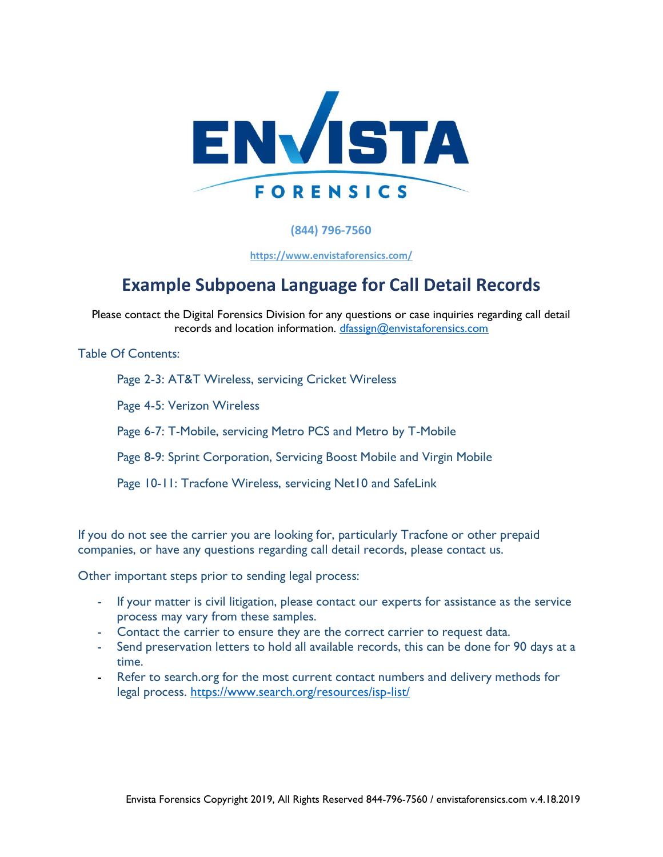

**(844) 796-7560**

**<https://www.envistaforensics.com/>**

# **Example Subpoena Language for Call Detail Records**

Please contact the Digital Forensics Division for any questions or case inquiries regarding call detail records and location information. [dfassign@envistaforensics.com](mailto:dfassign@envistaforensics.com)

Table Of Contents:

Page 2-3: AT&T Wireless, servicing Cricket Wireless

Page 4-5: Verizon Wireless

Page 6-7: T-Mobile, servicing Metro PCS and Metro by T-Mobile

Page 8-9: Sprint Corporation, Servicing Boost Mobile and Virgin Mobile

Page 10-11: Tracfone Wireless, servicing Net10 and SafeLink

If you do not see the carrier you are looking for, particularly Tracfone or other prepaid companies, or have any questions regarding call detail records, please contact us.

Other important steps prior to sending legal process:

- If your matter is civil litigation, please contact our experts for assistance as the service process may vary from these samples.
- Contact the carrier to ensure they are the correct carrier to request data.
- Send preservation letters to hold all available records, this can be done for 90 days at a time.
- Refer to search.org for the most current contact numbers and delivery methods for legal process. https://www.search.org/resources/isp-list/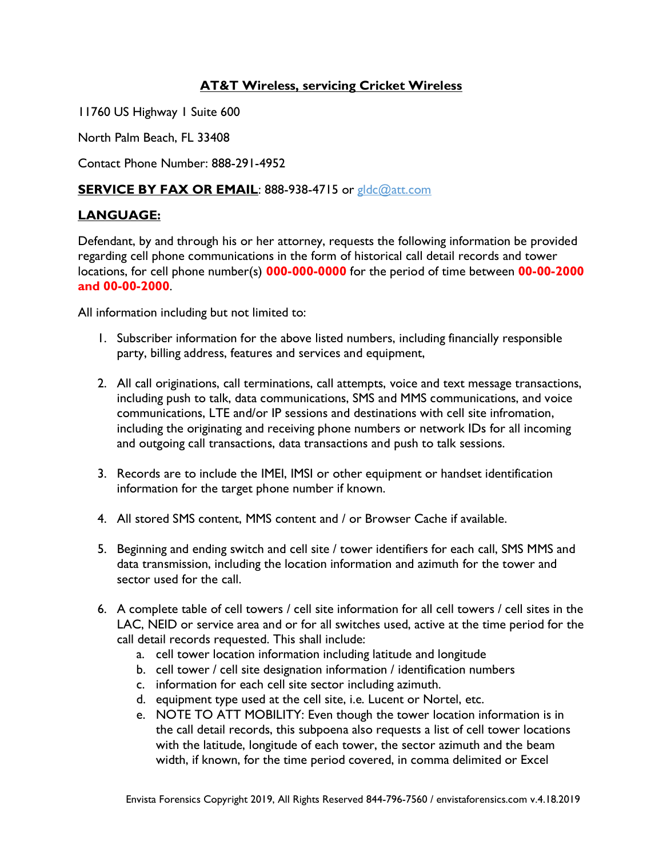## **AT&T Wireless, servicing Cricket Wireless**

11760 US Highway 1 Suite 600

North Palm Beach, FL 33408

Contact Phone Number: 888-291-4952

## **SERVICE BY FAX OR EMAIL: 888-938-4715 or [gldc@att.com](mailto:gldc@att.com)**

## **LANGUAGE:**

Defendant, by and through his or her attorney, requests the following information be provided regarding cell phone communications in the form of historical call detail records and tower locations, for cell phone number(s) **000-000-0000** for the period of time between **00-00-2000 and 00-00-2000**.

- 1. Subscriber information for the above listed numbers, including financially responsible party, billing address, features and services and equipment,
- 2. All call originations, call terminations, call attempts, voice and text message transactions, including push to talk, data communications, SMS and MMS communications, and voice communications, LTE and/or IP sessions and destinations with cell site infromation, including the originating and receiving phone numbers or network IDs for all incoming and outgoing call transactions, data transactions and push to talk sessions.
- 3. Records are to include the IMEI, IMSI or other equipment or handset identification information for the target phone number if known.
- 4. All stored SMS content, MMS content and / or Browser Cache if available.
- 5. Beginning and ending switch and cell site / tower identifiers for each call, SMS MMS and data transmission, including the location information and azimuth for the tower and sector used for the call.
- 6. A complete table of cell towers / cell site information for all cell towers / cell sites in the LAC, NEID or service area and or for all switches used, active at the time period for the call detail records requested. This shall include:
	- a. cell tower location information including latitude and longitude
	- b. cell tower / cell site designation information / identification numbers
	- c. information for each cell site sector including azimuth.
	- d. equipment type used at the cell site, i.e. Lucent or Nortel, etc.
	- e. NOTE TO ATT MOBILITY: Even though the tower location information is in the call detail records, this subpoena also requests a list of cell tower locations with the latitude, longitude of each tower, the sector azimuth and the beam width, if known, for the time period covered, in comma delimited or Excel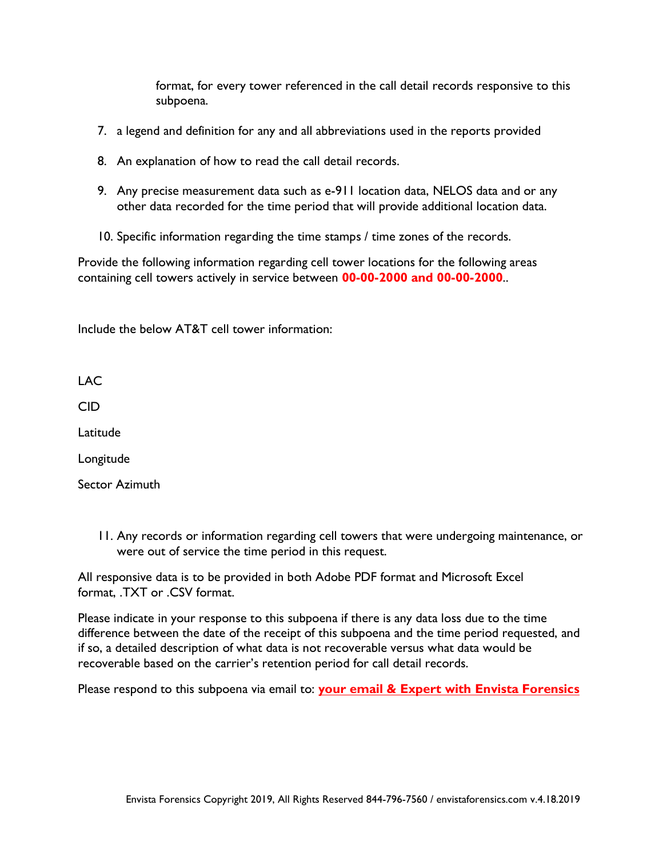format, for every tower referenced in the call detail records responsive to this subpoena.

- 7. a legend and definition for any and all abbreviations used in the reports provided
- 8. An explanation of how to read the call detail records.
- 9. Any precise measurement data such as e-911 location data, NELOS data and or any other data recorded for the time period that will provide additional location data.
- 10. Specific information regarding the time stamps / time zones of the records.

Provide the following information regarding cell tower locations for the following areas containing cell towers actively in service between **00-00-2000 and 00-00-2000**..

Include the below AT&T cell tower information:

LAC

CID

Latitude

Longitude

Sector Azimuth

11. Any records or information regarding cell towers that were undergoing maintenance, or were out of service the time period in this request.

All responsive data is to be provided in both Adobe PDF format and Microsoft Excel format, .TXT or .CSV format.

Please indicate in your response to this subpoena if there is any data loss due to the time difference between the date of the receipt of this subpoena and the time period requested, and if so, a detailed description of what data is not recoverable versus what data would be recoverable based on the carrier's retention period for call detail records.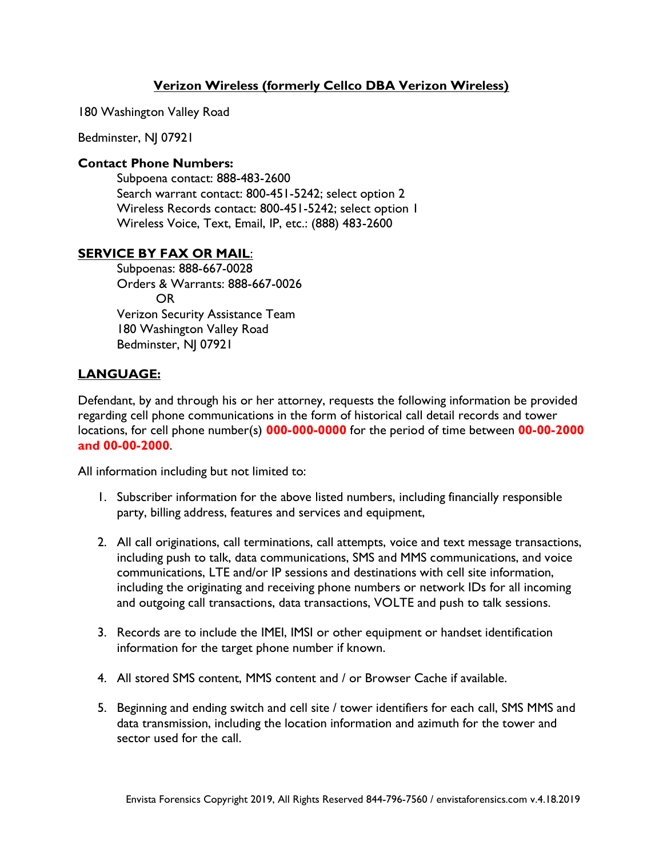# **Verizon Wireless (formerly Cellco DBA Verizon Wireless)**

180 Washington Valley Road

Bedminster, NJ 07921

## **Contact Phone Numbers:**

Subpoena contact: 888-483-2600 Search warrant contact: 800-451-5242; select option 2 Wireless Records contact: 800-451-5242; select option 1 Wireless Voice, Text, Email, IP, etc.: (888) 483-2600

#### **SERVICE BY FAX OR MAIL**:

Subpoenas: 888-667-0028 Orders & Warrants: 888-667-0026 OR Verizon Security Assistance Team 180 Washington Valley Road Bedminster, NJ 07921

## **LANGUAGE:**

Defendant, by and through his or her attorney, requests the following information be provided regarding cell phone communications in the form of historical call detail records and tower locations, for cell phone number(s) **000-000-0000** for the period of time between **00-00-2000 and 00-00-2000**.

- 1. Subscriber information for the above listed numbers, including financially responsible party, billing address, features and services and equipment,
- 2. All call originations, call terminations, call attempts, voice and text message transactions, including push to talk, data communications, SMS and MMS communications, and voice communications, LTE and/or IP sessions and destinations with cell site information, including the originating and receiving phone numbers or network IDs for all incoming and outgoing call transactions, data transactions, VOLTE and push to talk sessions.
- 3. Records are to include the IMEI, IMSI or other equipment or handset identification information for the target phone number if known.
- 4. All stored SMS content, MMS content and / or Browser Cache if available.
- 5. Beginning and ending switch and cell site / tower identifiers for each call, SMS MMS and data transmission, including the location information and azimuth for the tower and sector used for the call.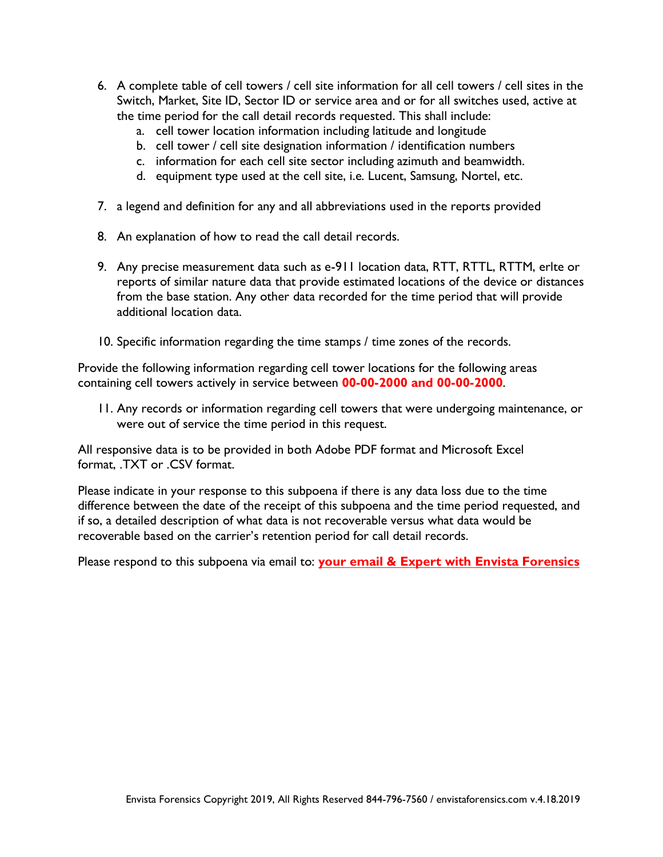- 6. A complete table of cell towers / cell site information for all cell towers / cell sites in the Switch, Market, Site ID, Sector ID or service area and or for all switches used, active at the time period for the call detail records requested. This shall include:
	- a. cell tower location information including latitude and longitude
	- b. cell tower / cell site designation information / identification numbers
	- c. information for each cell site sector including azimuth and beamwidth.
	- d. equipment type used at the cell site, i.e. Lucent, Samsung, Nortel, etc.
- 7. a legend and definition for any and all abbreviations used in the reports provided
- 8. An explanation of how to read the call detail records.
- 9. Any precise measurement data such as e-911 location data, RTT, RTTL, RTTM, erlte or reports of similar nature data that provide estimated locations of the device or distances from the base station. Any other data recorded for the time period that will provide additional location data.
- 10. Specific information regarding the time stamps / time zones of the records.

Provide the following information regarding cell tower locations for the following areas containing cell towers actively in service between **00-00-2000 and 00-00-2000**.

11. Any records or information regarding cell towers that were undergoing maintenance, or were out of service the time period in this request.

All responsive data is to be provided in both Adobe PDF format and Microsoft Excel format, .TXT or .CSV format.

Please indicate in your response to this subpoena if there is any data loss due to the time difference between the date of the receipt of this subpoena and the time period requested, and if so, a detailed description of what data is not recoverable versus what data would be recoverable based on the carrier's retention period for call detail records.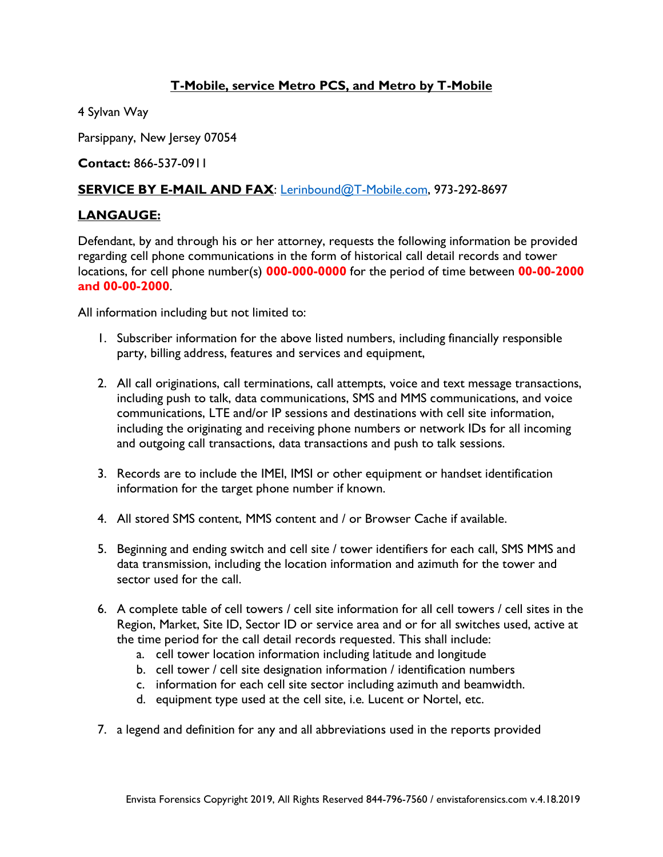# **T-Mobile, service Metro PCS, and Metro by T-Mobile**

4 Sylvan Way

Parsippany, New Jersey 07054

**Contact:** 866-537-0911

## **SERVICE BY E-MAIL AND FAX**: [Lerinbound@T-Mobile.com,](mailto:Lerinbound@T-Mobile.com) 973-292-8697

#### **LANGAUGE:**

Defendant, by and through his or her attorney, requests the following information be provided regarding cell phone communications in the form of historical call detail records and tower locations, for cell phone number(s) **000-000-0000** for the period of time between **00-00-2000 and 00-00-2000**.

- 1. Subscriber information for the above listed numbers, including financially responsible party, billing address, features and services and equipment,
- 2. All call originations, call terminations, call attempts, voice and text message transactions, including push to talk, data communications, SMS and MMS communications, and voice communications, LTE and/or IP sessions and destinations with cell site information, including the originating and receiving phone numbers or network IDs for all incoming and outgoing call transactions, data transactions and push to talk sessions.
- 3. Records are to include the IMEI, IMSI or other equipment or handset identification information for the target phone number if known.
- 4. All stored SMS content, MMS content and / or Browser Cache if available.
- 5. Beginning and ending switch and cell site / tower identifiers for each call, SMS MMS and data transmission, including the location information and azimuth for the tower and sector used for the call.
- 6. A complete table of cell towers / cell site information for all cell towers / cell sites in the Region, Market, Site ID, Sector ID or service area and or for all switches used, active at the time period for the call detail records requested. This shall include:
	- a. cell tower location information including latitude and longitude
	- b. cell tower / cell site designation information / identification numbers
	- c. information for each cell site sector including azimuth and beamwidth.
	- d. equipment type used at the cell site, i.e. Lucent or Nortel, etc.
- 7. a legend and definition for any and all abbreviations used in the reports provided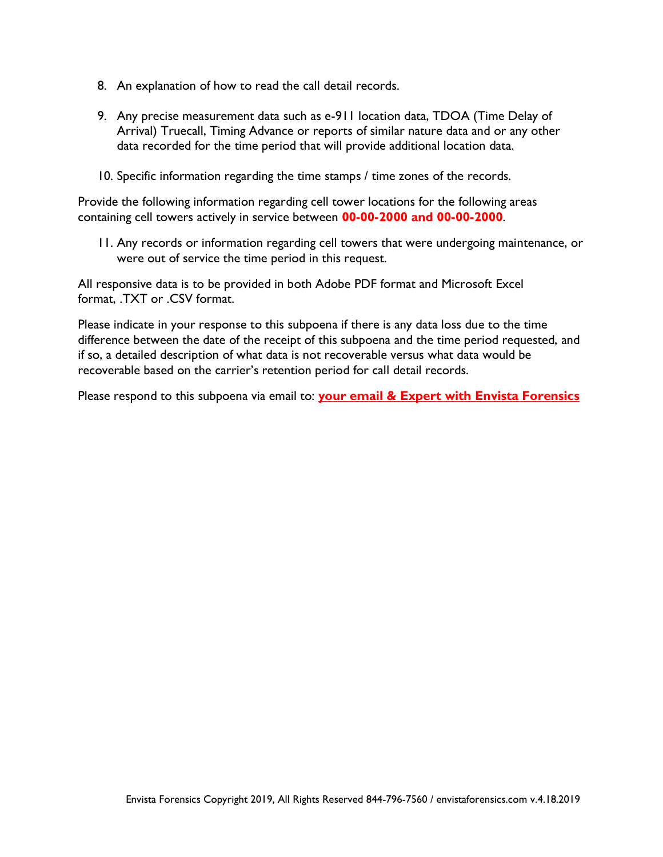- 8. An explanation of how to read the call detail records.
- 9. Any precise measurement data such as e-911 location data, TDOA (Time Delay of Arrival) Truecall, Timing Advance or reports of similar nature data and or any other data recorded for the time period that will provide additional location data.
- 10. Specific information regarding the time stamps / time zones of the records.

Provide the following information regarding cell tower locations for the following areas containing cell towers actively in service between **00-00-2000 and 00-00-2000**.

11. Any records or information regarding cell towers that were undergoing maintenance, or were out of service the time period in this request.

All responsive data is to be provided in both Adobe PDF format and Microsoft Excel format, .TXT or .CSV format.

Please indicate in your response to this subpoena if there is any data loss due to the time difference between the date of the receipt of this subpoena and the time period requested, and if so, a detailed description of what data is not recoverable versus what data would be recoverable based on the carrier's retention period for call detail records.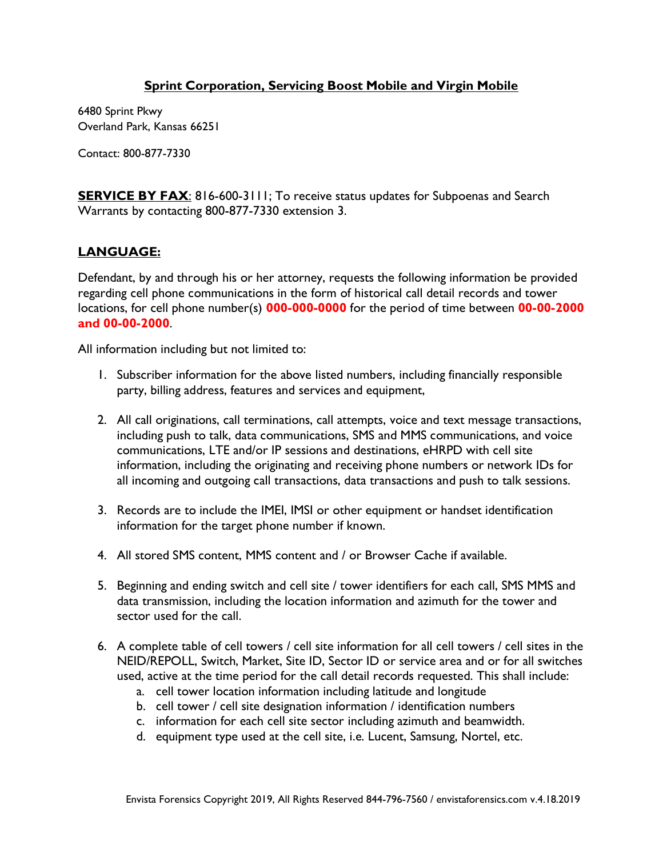## **Sprint Corporation, Servicing Boost Mobile and Virgin Mobile**

6480 Sprint Pkwy Overland Park, Kansas 66251

Contact: 800-877-7330

**SERVICE BY FAX:** 816-600-3111; To receive status updates for Subpoenas and Search Warrants by contacting 800-877-7330 extension 3.

# **LANGUAGE:**

Defendant, by and through his or her attorney, requests the following information be provided regarding cell phone communications in the form of historical call detail records and tower locations, for cell phone number(s) **000-000-0000** for the period of time between **00-00-2000 and 00-00-2000**.

- 1. Subscriber information for the above listed numbers, including financially responsible party, billing address, features and services and equipment,
- 2. All call originations, call terminations, call attempts, voice and text message transactions, including push to talk, data communications, SMS and MMS communications, and voice communications, LTE and/or IP sessions and destinations, eHRPD with cell site information, including the originating and receiving phone numbers or network IDs for all incoming and outgoing call transactions, data transactions and push to talk sessions.
- 3. Records are to include the IMEI, IMSI or other equipment or handset identification information for the target phone number if known.
- 4. All stored SMS content, MMS content and / or Browser Cache if available.
- 5. Beginning and ending switch and cell site / tower identifiers for each call, SMS MMS and data transmission, including the location information and azimuth for the tower and sector used for the call.
- 6. A complete table of cell towers / cell site information for all cell towers / cell sites in the NEID/REPOLL, Switch, Market, Site ID, Sector ID or service area and or for all switches used, active at the time period for the call detail records requested. This shall include:
	- a. cell tower location information including latitude and longitude
	- b. cell tower / cell site designation information / identification numbers
	- c. information for each cell site sector including azimuth and beamwidth.
	- d. equipment type used at the cell site, i.e. Lucent, Samsung, Nortel, etc.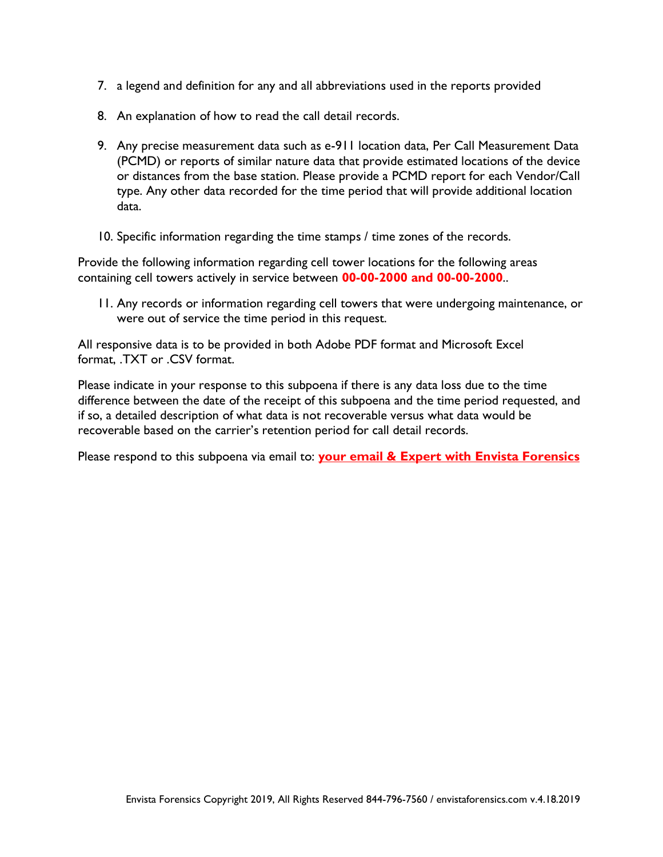- 7. a legend and definition for any and all abbreviations used in the reports provided
- 8. An explanation of how to read the call detail records.
- 9. Any precise measurement data such as e-911 location data, Per Call Measurement Data (PCMD) or reports of similar nature data that provide estimated locations of the device or distances from the base station. Please provide a PCMD report for each Vendor/Call type. Any other data recorded for the time period that will provide additional location data.
- 10. Specific information regarding the time stamps / time zones of the records.

Provide the following information regarding cell tower locations for the following areas containing cell towers actively in service between **00-00-2000 and 00-00-2000**..

11. Any records or information regarding cell towers that were undergoing maintenance, or were out of service the time period in this request.

All responsive data is to be provided in both Adobe PDF format and Microsoft Excel format, .TXT or .CSV format.

Please indicate in your response to this subpoena if there is any data loss due to the time difference between the date of the receipt of this subpoena and the time period requested, and if so, a detailed description of what data is not recoverable versus what data would be recoverable based on the carrier's retention period for call detail records.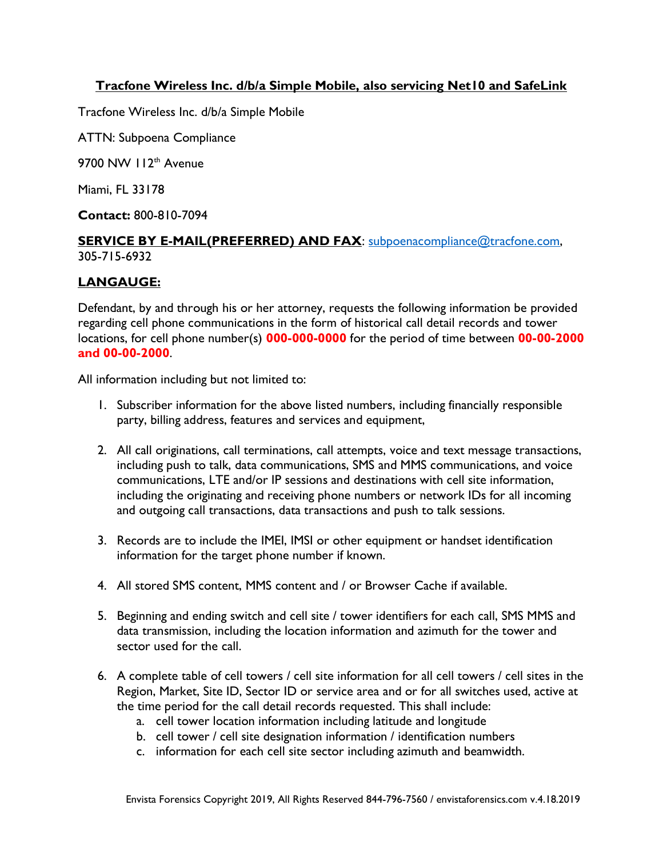# **Tracfone Wireless Inc. d/b/a Simple Mobile, also servicing Net10 and SafeLink**

Tracfone Wireless Inc. d/b/a Simple Mobile

ATTN: Subpoena Compliance

9700 NW 112<sup>th</sup> Avenue

Miami, FL 33178

**Contact:** 800-810-7094

#### **SERVICE BY E-MAIL(PREFERRED) AND FAX**: [subpoenacompliance@tracfone.com,](mailto:subpoenacompliance@tracfone.com)  305-715-6932

## **LANGAUGE:**

Defendant, by and through his or her attorney, requests the following information be provided regarding cell phone communications in the form of historical call detail records and tower locations, for cell phone number(s) **000-000-0000** for the period of time between **00-00-2000 and 00-00-2000**.

- 1. Subscriber information for the above listed numbers, including financially responsible party, billing address, features and services and equipment,
- 2. All call originations, call terminations, call attempts, voice and text message transactions, including push to talk, data communications, SMS and MMS communications, and voice communications, LTE and/or IP sessions and destinations with cell site information, including the originating and receiving phone numbers or network IDs for all incoming and outgoing call transactions, data transactions and push to talk sessions.
- 3. Records are to include the IMEI, IMSI or other equipment or handset identification information for the target phone number if known.
- 4. All stored SMS content, MMS content and / or Browser Cache if available.
- 5. Beginning and ending switch and cell site / tower identifiers for each call, SMS MMS and data transmission, including the location information and azimuth for the tower and sector used for the call.
- 6. A complete table of cell towers / cell site information for all cell towers / cell sites in the Region, Market, Site ID, Sector ID or service area and or for all switches used, active at the time period for the call detail records requested. This shall include:
	- a. cell tower location information including latitude and longitude
	- b. cell tower / cell site designation information / identification numbers
	- c. information for each cell site sector including azimuth and beamwidth.